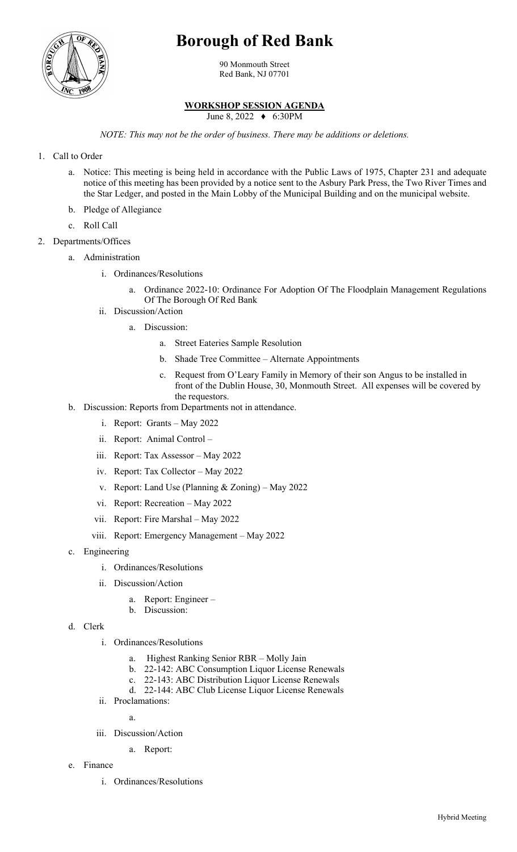## **Borough of Red Bank**



90 Monmouth Street Red Bank, NJ 07701

## **WORKSHOP SESSION AGENDA**

June 8, 2022 ♦ 6:30PM

*NOTE: This may not be the order of business. There may be additions or deletions.*

- 1. Call to Order
	- a. Notice: This meeting is being held in accordance with the Public Laws of 1975, Chapter 231 and adequate notice of this meeting has been provided by a notice sent to the Asbury Park Press, the Two River Times and the Star Ledger, and posted in the Main Lobby of the Municipal Building and on the municipal website.
	- b. Pledge of Allegiance
	- c. Roll Call
- 2. Departments/Offices
	- a. Administration
		- i. Ordinances/Resolutions
			- Ordinance 2022-10: Ordinance For Adoption Of The Floodplain Management Regulations Of The Borough Of Red Bank
		- ii. Discussion/Action
			- a. Discussion:
				- a. Street Eateries Sample Resolution
				- b. Shade Tree Committee Alternate Appointments
				- c. Request from O'Leary Family in Memory of their son Angus to be installed in front of the Dublin House, 30, Monmouth Street. All expenses will be covered by the requestors.
	- b. Discussion: Reports from Departments not in attendance.
		- i. Report: Grants May 2022
		- ii. Report: Animal Control –
		- iii. Report: Tax Assessor May 2022
		- iv. Report: Tax Collector May 2022
		- v. Report: Land Use (Planning & Zoning) May 2022
		- vi. Report: Recreation May 2022
		- vii. Report: Fire Marshal May 2022
		- viii. Report: Emergency Management May 2022
	- c. Engineering
		- i. Ordinances/Resolutions
		- ii. Discussion/Action
			- a. Report: Engineer –
			- b. Discussion:
	- d. Clerk
		- i. Ordinances/Resolutions
			- a. Highest Ranking Senior RBR Molly Jain
			- b. 22-142: ABC Consumption Liquor License Renewals
			- c. 22-143: ABC Distribution Liquor License Renewals
			- d. 22-144: ABC Club License Liquor License Renewals
		- ii. Proclamations:

a.

- iii. Discussion/Action
	- a. Report:
- e. Finance
	- i. Ordinances/Resolutions